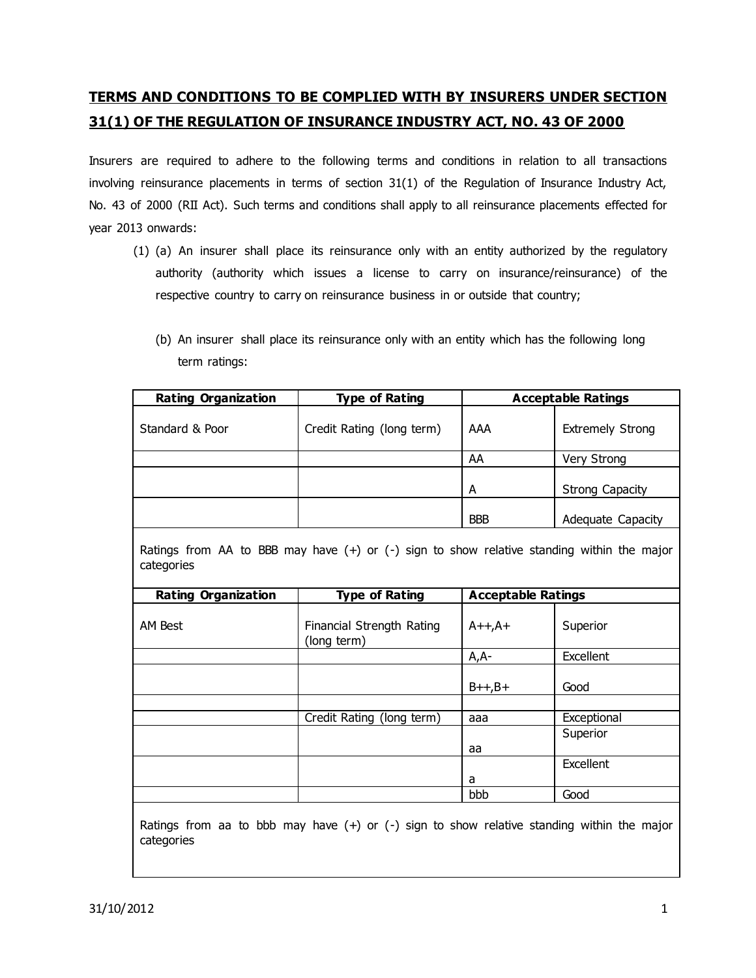# **TERMS AND CONDITIONS TO BE COMPLIED WITH BY INSURERS UNDER SECTION 31(1) OF THE REGULATION OF INSURANCE INDUSTRY ACT, NO. 43 OF 2000**

Insurers are required to adhere to the following terms and conditions in relation to all transactions involving reinsurance placements in terms of section 31(1) of the Regulation of Insurance Industry Act, No. 43 of 2000 (RII Act). Such terms and conditions shall apply to all reinsurance placements effected for year 2013 onwards:

- (1) (a) An insurer shall place its reinsurance only with an entity authorized by the regulatory authority (authority which issues a license to carry on insurance/reinsurance) of the respective country to carry on reinsurance business in or outside that country;
	- (b) An insurer shall place its reinsurance only with an entity which has the following long term ratings:

| <b>Rating Organization</b>                                                                                   | <b>Type of Rating</b>                    | <b>Acceptable Ratings</b> |                         |  |
|--------------------------------------------------------------------------------------------------------------|------------------------------------------|---------------------------|-------------------------|--|
| Standard & Poor                                                                                              | Credit Rating (long term)                | AAA                       | <b>Extremely Strong</b> |  |
|                                                                                                              |                                          | AA                        | Very Strong             |  |
|                                                                                                              |                                          | A                         | <b>Strong Capacity</b>  |  |
|                                                                                                              |                                          | <b>BBB</b>                | Adequate Capacity       |  |
| Ratings from AA to BBB may have $(+)$ or $(-)$ sign to show relative standing within the major<br>categories |                                          |                           |                         |  |
| <b>Rating Organization</b>                                                                                   | <b>Type of Rating</b>                    | <b>Acceptable Ratings</b> |                         |  |
| <b>AM Best</b>                                                                                               | Financial Strength Rating<br>(long term) | $A++,A+$                  | Superior                |  |
|                                                                                                              |                                          | $A, A-$                   | Excellent               |  |
|                                                                                                              |                                          | $B++,B+$                  | Good                    |  |
|                                                                                                              | Credit Rating (long term)                | aaa                       | Exceptional             |  |
|                                                                                                              |                                          | aa                        | Superior                |  |
|                                                                                                              |                                          | a                         | Excellent               |  |
|                                                                                                              |                                          | bbb                       | Good                    |  |
| Ratings from aa to bbb may have $(+)$ or $(-)$ sign to show relative standing within the major<br>categories |                                          |                           |                         |  |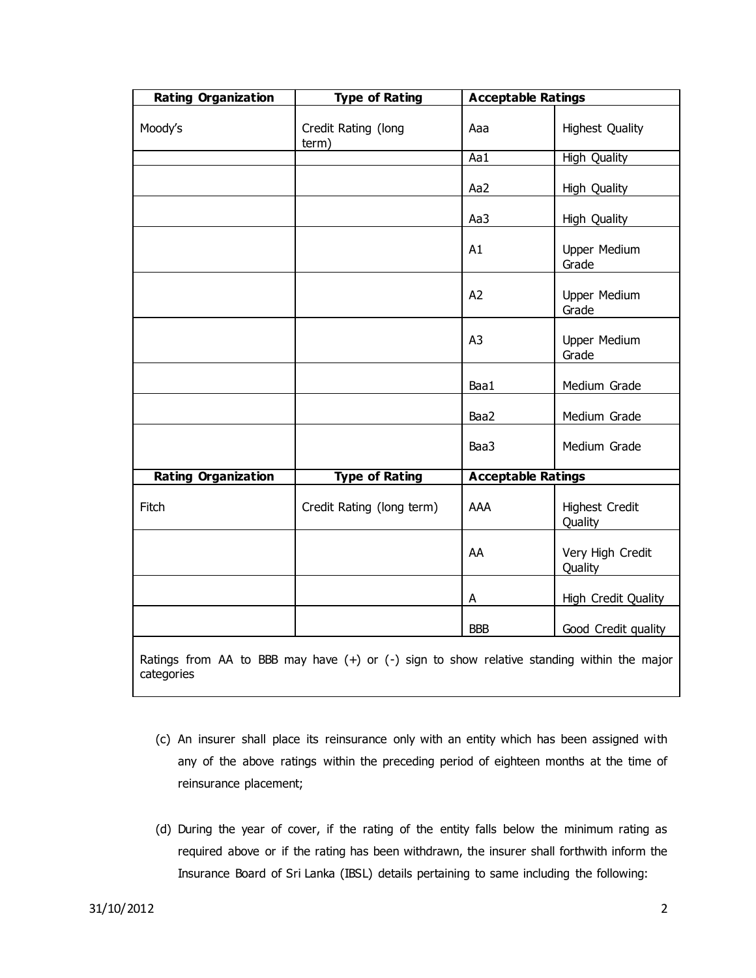| <b>Rating Organization</b>                                                                                   | <b>Type of Rating</b>        |                | <b>Acceptable Ratings</b>    |  |
|--------------------------------------------------------------------------------------------------------------|------------------------------|----------------|------------------------------|--|
| Moody's                                                                                                      | Credit Rating (long<br>term) | Aaa            | <b>Highest Quality</b>       |  |
|                                                                                                              |                              | Aa1            | <b>High Quality</b>          |  |
|                                                                                                              |                              | Aa2            | High Quality                 |  |
|                                                                                                              |                              | Aa3            | <b>High Quality</b>          |  |
|                                                                                                              |                              | A1             | <b>Upper Medium</b><br>Grade |  |
|                                                                                                              |                              | A2             | <b>Upper Medium</b><br>Grade |  |
|                                                                                                              |                              | A <sub>3</sub> | <b>Upper Medium</b><br>Grade |  |
|                                                                                                              |                              | Baa1           | Medium Grade                 |  |
|                                                                                                              |                              | Baa2           | Medium Grade                 |  |
|                                                                                                              |                              | Baa3           | Medium Grade                 |  |
| <b>Rating Organization</b>                                                                                   | <b>Type of Rating</b>        |                | <b>Acceptable Ratings</b>    |  |
| Fitch                                                                                                        | Credit Rating (long term)    | AAA            | Highest Credit<br>Quality    |  |
|                                                                                                              |                              | AA             | Very High Credit<br>Quality  |  |
|                                                                                                              |                              | A              | High Credit Quality          |  |
|                                                                                                              |                              | <b>BBB</b>     | Good Credit quality          |  |
| Ratings from AA to BBB may have $(+)$ or $(-)$ sign to show relative standing within the major<br>categories |                              |                |                              |  |

- (c) An insurer shall place its reinsurance only with an entity which has been assigned with any of the above ratings within the preceding period of eighteen months at the time of reinsurance placement;
- (d) During the year of cover, if the rating of the entity falls below the minimum rating as required above or if the rating has been withdrawn, the insurer shall forthwith inform the Insurance Board of Sri Lanka (IBSL) details pertaining to same including the following: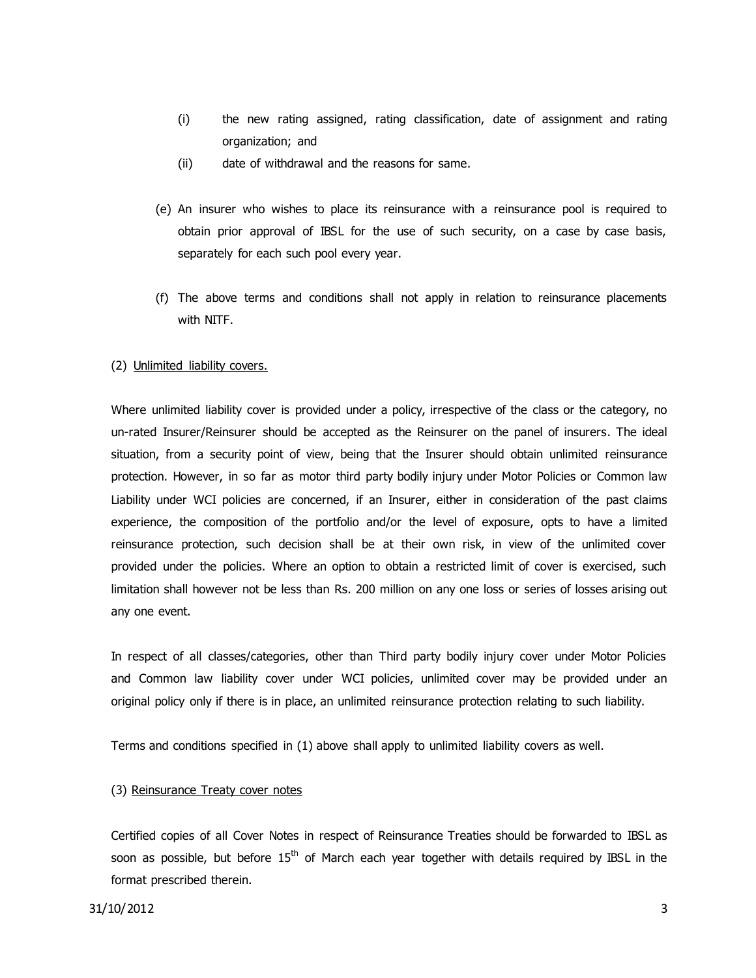- (i) the new rating assigned, rating classification, date of assignment and rating organization; and
- (ii) date of withdrawal and the reasons for same.
- (e) An insurer who wishes to place its reinsurance with a reinsurance pool is required to obtain prior approval of IBSL for the use of such security, on a case by case basis, separately for each such pool every year.
- (f) The above terms and conditions shall not apply in relation to reinsurance placements with NITF.

### (2) Unlimited liability covers.

Where unlimited liability cover is provided under a policy, irrespective of the class or the category, no un-rated Insurer/Reinsurer should be accepted as the Reinsurer on the panel of insurers. The ideal situation, from a security point of view, being that the Insurer should obtain unlimited reinsurance protection. However, in so far as motor third party bodily injury under Motor Policies or Common law Liability under WCI policies are concerned, if an Insurer, either in consideration of the past claims experience, the composition of the portfolio and/or the level of exposure, opts to have a limited reinsurance protection, such decision shall be at their own risk, in view of the unlimited cover provided under the policies. Where an option to obtain a restricted limit of cover is exercised, such limitation shall however not be less than Rs. 200 million on any one loss or series of losses arising out any one event.

In respect of all classes/categories, other than Third party bodily injury cover under Motor Policies and Common law liability cover under WCI policies, unlimited cover may be provided under an original policy only if there is in place, an unlimited reinsurance protection relating to such liability.

Terms and conditions specified in (1) above shall apply to unlimited liability covers as well.

### (3) Reinsurance Treaty cover notes

Certified copies of all Cover Notes in respect of Reinsurance Treaties should be forwarded to IBSL as soon as possible, but before  $15<sup>th</sup>$  of March each year together with details required by IBSL in the format prescribed therein.